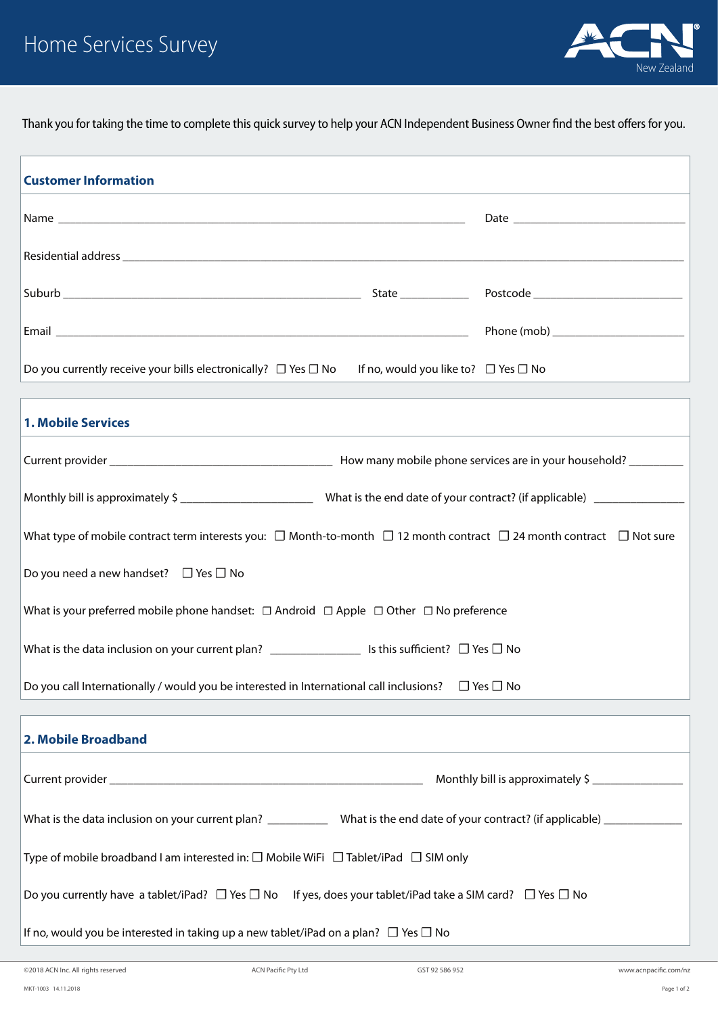

Thank you for taking the time to complete this quick survey to help your ACN Independent Business Owner find the best offers for you.

| <b>Customer Information</b>                                                                                                              |                |                       |  |
|------------------------------------------------------------------------------------------------------------------------------------------|----------------|-----------------------|--|
|                                                                                                                                          |                |                       |  |
|                                                                                                                                          |                |                       |  |
|                                                                                                                                          |                |                       |  |
|                                                                                                                                          |                |                       |  |
| Do you currently receive your bills electronically? $\Box$ Yes $\Box$ No If no, would you like to? $\Box$ Yes $\Box$ No                  |                |                       |  |
| <b>1. Mobile Services</b>                                                                                                                |                |                       |  |
|                                                                                                                                          |                |                       |  |
|                                                                                                                                          |                |                       |  |
| What type of mobile contract term interests you: $\Box$ Month-to-month $\Box$ 12 month contract $\Box$ 24 month contract $\Box$ Not sure |                |                       |  |
| Do you need a new handset? $\Box$ Yes $\Box$ No                                                                                          |                |                       |  |
| What is your preferred mobile phone handset: $\Box$ Android $\Box$ Apple $\Box$ Other $\Box$ No preference                               |                |                       |  |
| What is the data inclusion on your current plan? $\Box$ Is this sufficient? $\Box$ Yes $\Box$ No                                         |                |                       |  |
| Do you call Internationally / would you be interested in International call inclusions? $\Box$ Yes $\Box$ No                             |                |                       |  |
| 2. Mobile Broadband                                                                                                                      |                |                       |  |
| Monthly bill is approximately \$                                                                                                         |                |                       |  |
| What is the data inclusion on your current plan? _____________ What is the end date of your contract? (if applicable) ___________        |                |                       |  |
| Type of mobile broadband I am interested in: $\square$ Mobile WiFi $\square$ Tablet/iPad $\square$ SIM only                              |                |                       |  |
| Do you currently have a tablet/iPad? $\Box$ Yes $\Box$ No If yes, does your tablet/iPad take a SIM card? $\Box$ Yes $\Box$ No            |                |                       |  |
| If no, would you be interested in taking up a new tablet/iPad on a plan? $\Box$ Yes $\Box$ No                                            |                |                       |  |
| ©2018 ACN Inc. All rights reserved<br><b>ACN Pacific Pty Ltd</b>                                                                         | GST 92 586 952 | www.acnpacific.com/nz |  |